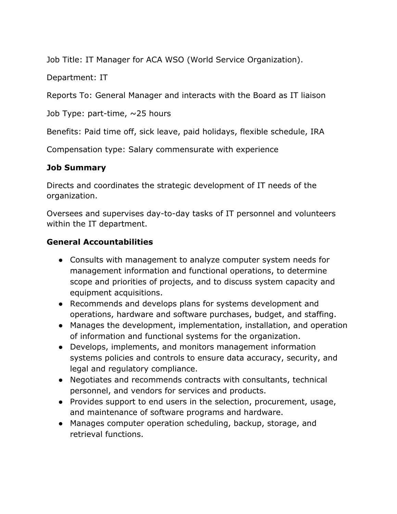Job Title: IT Manager for ACA WSO (World Service Organization).

Department: IT

Reports To: General Manager and interacts with the Board as IT liaison

Job Type: part-time,  $\sim$ 25 hours

Benefits: Paid time off, sick leave, paid holidays, flexible schedule, IRA

Compensation type: Salary commensurate with experience

## **Job Summary**

Directs and coordinates the strategic development of IT needs of the organization.

Oversees and supervises day-to-day tasks of IT personnel and volunteers within the IT department.

## **General Accountabilities**

- Consults with management to analyze computer system needs for management information and functional operations, to determine scope and priorities of projects, and to discuss system capacity and equipment acquisitions.
- Recommends and develops plans for systems development and operations, hardware and software purchases, budget, and staffing.
- Manages the development, implementation, installation, and operation of information and functional systems for the organization.
- Develops, implements, and monitors management information systems policies and controls to ensure data accuracy, security, and legal and regulatory compliance.
- Negotiates and recommends contracts with consultants, technical personnel, and vendors for services and products.
- Provides support to end users in the selection, procurement, usage, and maintenance of software programs and hardware.
- Manages computer operation scheduling, backup, storage, and retrieval functions.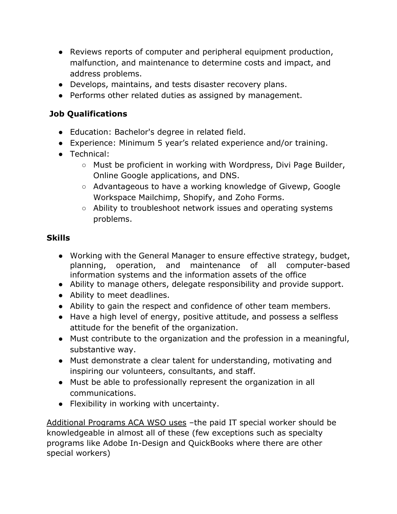- Reviews reports of computer and peripheral equipment production, malfunction, and maintenance to determine costs and impact, and address problems.
- Develops, maintains, and tests disaster recovery plans.
- Performs other related duties as assigned by management.

# **Job Qualifications**

- Education: Bachelor's degree in related field.
- Experience: Minimum 5 year's related experience and/or training.
- Technical:
	- Must be proficient in working with Wordpress, Divi Page Builder, Online Google applications, and DNS.
	- Advantageous to have a working knowledge of Givewp, Google Workspace Mailchimp, Shopify, and Zoho Forms.
	- Ability to troubleshoot network issues and operating systems problems.

## **Skills**

- Working with the General Manager to ensure effective strategy, budget, planning, operation, and maintenance of all computer-based information systems and the information assets of the office
- Ability to manage others, delegate responsibility and provide support.
- Ability to meet deadlines.
- Ability to gain the respect and confidence of other team members.
- Have a high level of energy, positive attitude, and possess a selfless attitude for the benefit of the organization.
- Must contribute to the organization and the profession in a meaningful, substantive way.
- Must demonstrate a clear talent for understanding, motivating and inspiring our volunteers, consultants, and staff.
- Must be able to professionally represent the organization in all communications.
- Flexibility in working with uncertainty.

Additional Programs ACA WSO uses –the paid IT special worker should be knowledgeable in almost all of these (few exceptions such as specialty programs like Adobe In-Design and QuickBooks where there are other special workers)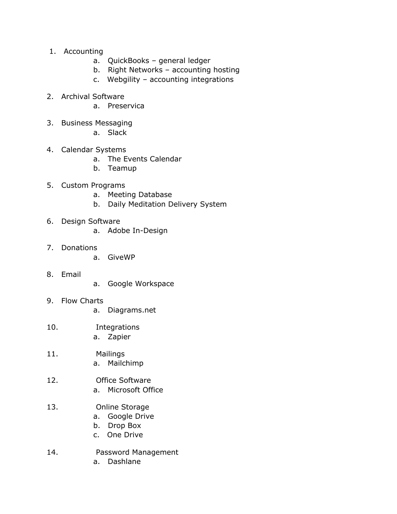- 1. Accounting
	- a. QuickBooks general ledger
	- b. Right Networks accounting hosting
	- c. Webgility accounting integrations
- 2. Archival Software
	- a. Preservica
- 3. Business Messaging
	- a. Slack
- 4. Calendar Systems
	- a. The Events Calendar
	- b. Teamup
- 5. Custom Programs
	- a. Meeting Database
	- b. Daily Meditation Delivery System
- 6. Design Software
	- a. Adobe In-Design
- 7. Donations
	- a. GiveWP
- 8. Email
- a. Google Workspace
- 9. Flow Charts
	- a. Diagrams.net
- 10. Integrations a. Zapier
	-
- 11. Mailings a. Mailchimp
- 12. Office Software
	- a. Microsoft Office
- 13. Online Storage
	- a. Google Drive
	- b. Drop Box
	- c. One Drive
- 14. Password Management
	- a. Dashlane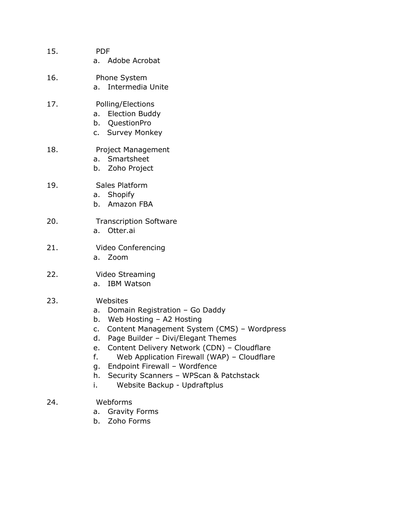| 15. | <b>PDF</b><br>a. Adobe Acrobat                                                                                                                                                                                                                                                                                                                                                                                              |
|-----|-----------------------------------------------------------------------------------------------------------------------------------------------------------------------------------------------------------------------------------------------------------------------------------------------------------------------------------------------------------------------------------------------------------------------------|
| 16. | Phone System<br>a. Intermedia Unite                                                                                                                                                                                                                                                                                                                                                                                         |
| 17. | Polling/Elections<br>a. Election Buddy<br>b. QuestionPro<br>c. Survey Monkey                                                                                                                                                                                                                                                                                                                                                |
| 18. | Project Management<br>Smartsheet<br>a.<br>b. Zoho Project                                                                                                                                                                                                                                                                                                                                                                   |
| 19. | Sales Platform<br>a. Shopify<br>b. Amazon FBA                                                                                                                                                                                                                                                                                                                                                                               |
| 20. | <b>Transcription Software</b><br>a. Otter.ai                                                                                                                                                                                                                                                                                                                                                                                |
| 21. | Video Conferencing<br>a. Zoom                                                                                                                                                                                                                                                                                                                                                                                               |
| 22. | Video Streaming<br><b>IBM Watson</b><br>a.                                                                                                                                                                                                                                                                                                                                                                                  |
| 23. | Websites<br>Domain Registration - Go Daddy<br>a.<br>Web Hosting - A2 Hosting<br>b.<br>Content Management System (CMS) - Wordpress<br>c.<br>Page Builder - Divi/Elegant Themes<br>d.<br>Content Delivery Network (CDN) - Cloudflare<br>e.<br>f.<br>Web Application Firewall (WAP) - Cloudflare<br>Endpoint Firewall - Wordfence<br>g.<br>h.<br>Security Scanners - WPScan & Patchstack<br>Website Backup - Updraftplus<br>i. |
| 24. | Webforms<br><b>Gravity Forms</b><br>a.<br>Zoho Earma                                                                                                                                                                                                                                                                                                                                                                        |

b. Zoho Forms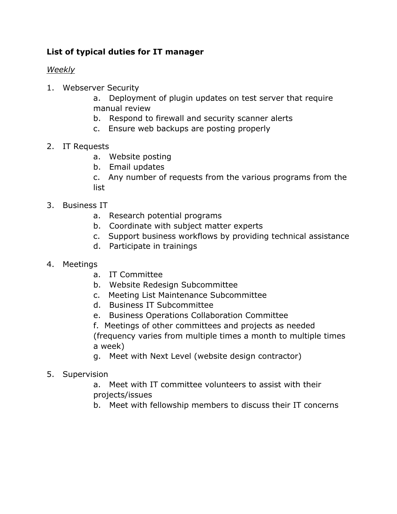# **List of typical duties for IT manager**

#### *Weekly*

- 1. Webserver Security
	- a. Deployment of plugin updates on test server that require manual review
	- b. Respond to firewall and security scanner alerts
	- c. Ensure web backups are posting properly

## 2. IT Requests

- a. Website posting
- b. Email updates

c. Any number of requests from the various programs from the list

#### 3. Business IT

- a. Research potential programs
- b. Coordinate with subject matter experts
- c. Support business workflows by providing technical assistance
- d. Participate in trainings
- 4. Meetings
	- a. IT Committee
	- b. Website Redesign Subcommittee
	- c. Meeting List Maintenance Subcommittee
	- d. Business IT Subcommittee
	- e. Business Operations Collaboration Committee

f. Meetings of other committees and projects as needed (frequency varies from multiple times a month to multiple times a week)

g. Meet with Next Level (website design contractor)

## 5. Supervision

a. Meet with IT committee volunteers to assist with their projects/issues

b. Meet with fellowship members to discuss their IT concerns